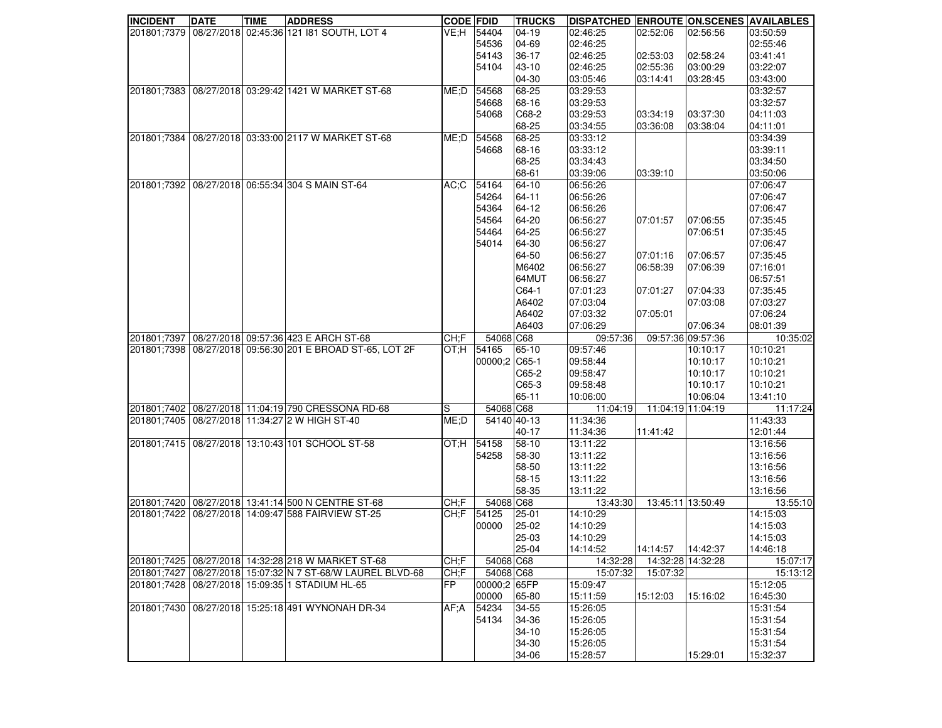| <b>INCIDENT</b> | <b>DATE</b> | <b>TIME</b> | <b>ADDRESS</b>                                              | <b>CODE FDID</b> |               | <b>TRUCKS</b> | <b>DISPATCHED ENROUTE ON SCENES AVAILABLES</b> |                    |          |          |
|-----------------|-------------|-------------|-------------------------------------------------------------|------------------|---------------|---------------|------------------------------------------------|--------------------|----------|----------|
|                 |             |             | 201801;7379   08/27/2018   02:45:36   121   81 SOUTH, LOT 4 | VE:H             | 54404         | $ 04-19$      | 02:46:25                                       | 02:52:06           | 02:56:56 | 03:50:59 |
|                 |             |             |                                                             |                  | 54536         | 04-69         | 02:46:25                                       |                    |          | 02:55:46 |
|                 |             |             |                                                             |                  | 54143         | 36-17         | 02:46:25                                       | 02:53:03           | 02:58:24 | 03:41:41 |
|                 |             |             |                                                             |                  | 54104         | 43-10         | 02:46:25                                       | 02:55:36           | 03:00:29 | 03:22:07 |
|                 |             |             |                                                             |                  |               | 04-30         | 03:05:46                                       | 03:14:41           | 03:28:45 | 03:43:00 |
| 201801:7383     |             |             | 08/27/2018 03:29:42 1421 W MARKET ST-68                     | ME: D            | 54568         | 68-25         | 03:29:53                                       |                    |          | 03:32:57 |
|                 |             |             |                                                             |                  | 54668         | 68-16         | 03:29:53                                       |                    |          | 03:32:57 |
|                 |             |             |                                                             |                  | 54068         | C68-2         | 03:29:53                                       | 03:34:19           | 03:37:30 | 04:11:03 |
|                 |             |             |                                                             |                  |               | 68-25         | 03:34:55                                       | 03:36:08           | 03:38:04 | 04:11:01 |
| 201801;7384     |             |             | 08/27/2018 03:33:00 2117 W MARKET ST-68                     | ME;D             | 54568         | 68-25         | 03:33:12                                       |                    |          | 03:34:39 |
|                 |             |             |                                                             |                  | 54668         | 68-16         | 03:33:12                                       |                    |          | 03:39:11 |
|                 |             |             |                                                             |                  |               | 68-25         | 03:34:43                                       |                    |          | 03:34:50 |
|                 |             |             |                                                             |                  |               | 68-61         | 03:39:06                                       | 03:39:10           |          | 03:50:06 |
|                 |             |             | 201801;7392 08/27/2018 06:55:34 304 S MAIN ST-64            | AC;C             | 54164         | 64-10         | 06:56:26                                       |                    |          | 07:06:47 |
|                 |             |             |                                                             |                  | 54264         | 64-11         | 06:56:26                                       |                    |          | 07:06:47 |
|                 |             |             |                                                             |                  | 54364         | 64-12         | 06:56:26                                       |                    |          | 07:06:47 |
|                 |             |             |                                                             |                  | 54564         | 64-20         | 06:56:27                                       | 07:01:57           | 07:06:55 | 07:35:45 |
|                 |             |             |                                                             |                  | 54464         | 64-25         | 06:56:27                                       |                    | 07:06:51 | 07:35:45 |
|                 |             |             |                                                             |                  | 54014         | 64-30         | 06:56:27                                       |                    |          | 07:06:47 |
|                 |             |             |                                                             |                  |               | 64-50         | 06:56:27                                       | 07:01:16           | 07:06:57 | 07:35:45 |
|                 |             |             |                                                             |                  |               | M6402         | 06:56:27                                       | 06:58:39           | 07:06:39 | 07:16:01 |
|                 |             |             |                                                             |                  |               | 64MUT         | 06:56:27                                       |                    |          | 06:57:51 |
|                 |             |             |                                                             |                  |               | C64-1         | 07:01:23                                       | 07:01:27           | 07:04:33 | 07:35:45 |
|                 |             |             |                                                             |                  |               | A6402         | 07:03:04                                       |                    | 07:03:08 | 07:03:27 |
|                 |             |             |                                                             |                  |               | A6402         | 07:03:32                                       | 07:05:01           |          | 07:06:24 |
|                 |             |             |                                                             |                  |               | A6403         | 07:06:29                                       |                    | 07:06:34 | 08:01:39 |
|                 |             |             | 201801;7397 08/27/2018 09:57:36 423 E ARCH ST-68            | CH;F             | 54068 C68     |               | 09:57:36                                       | 09:57:36 09:57:36  |          | 10:35:02 |
|                 |             |             | 201801;7398 08/27/2018 09:56:30 201 E BROAD ST-65, LOT 2F   | OT:H             | 54165         | 65-10         | 09:57:46                                       |                    | 10:10:17 | 10:10:21 |
|                 |             |             |                                                             |                  | 00000;2 C65-1 |               | 09:58:44                                       |                    | 10:10:17 | 10:10:21 |
|                 |             |             |                                                             |                  |               | C65-2         | 09:58:47                                       |                    | 10:10:17 | 10:10:21 |
|                 |             |             |                                                             |                  |               | $ C65-3 $     | 09:58:48                                       |                    | 10:10:17 | 10:10:21 |
|                 |             |             |                                                             |                  |               | 65-11         | 10:06:00                                       |                    | 10:06:04 | 13:41:10 |
|                 |             |             | 201801;7402 08/27/2018 11:04:19 790 CRESSONA RD-68          | S                | 54068 C68     |               | 11:04:19                                       | 11:04:19 11:04:19  |          | 11:17:24 |
|                 |             |             | 201801;7405   08/27/2018   11:34:27   2 W HIGH ST-40        | ME;D             | 54140 40-13   |               | 11:34:36                                       |                    |          | 11:43:33 |
|                 |             |             |                                                             |                  |               | $40 - 17$     | 11:34:36                                       | 11:41:42           |          | 12:01:44 |
|                 |             |             | 201801;7415   08/27/2018   13:10:43   101 SCHOOL ST-58      | OT:H             | 54158         | 58-10         | 13:11:22                                       |                    |          | 13:16:56 |
|                 |             |             |                                                             |                  | 54258         | 58-30         | 13:11:22                                       |                    |          | 13:16:56 |
|                 |             |             |                                                             |                  |               | 58-50         | 13:11:22                                       |                    |          | 13:16:56 |
|                 |             |             |                                                             |                  |               | 58-15         | 13:11:22                                       |                    |          | 13:16:56 |
|                 |             |             |                                                             |                  |               | 58-35         | 13:11:22                                       |                    |          | 13:16:56 |
|                 |             |             | 201801;7420 08/27/2018 13:41:14 500 N CENTRE ST-68          | CH: F            | 54068 C68     |               | 13:43:30                                       | 13:45:11 13:50:49  |          | 13:55:10 |
| 201801;7422     |             |             | 08/27/2018 14:09:47 588 FAIRVIEW ST-25                      | CH;F             | 54125         | 25-01         | 14:10:29                                       |                    |          | 14:15:03 |
|                 |             |             |                                                             |                  | 00000         | 25-02         | 14:10:29                                       |                    |          | 14:15:03 |
|                 |             |             |                                                             |                  |               | 25-03         | 14:10:29                                       |                    |          | 14:15:03 |
|                 |             |             |                                                             |                  |               | 25-04         | 14:14:52                                       | 14:14:57  14:42:37 |          | 14:46:18 |
|                 |             |             | 201801;7425   08/27/2018   14:32:28   218 W MARKET ST-68    | CH: F            | 54068 C68     |               | 14:32:28                                       | 14:32:28 14:32:28  |          | 15:07:17 |
|                 |             |             | 201801;7427 08/27/2018 15:07:32 N 7 ST-68/W LAUREL BLVD-68  | CH;F             | 54068 C68     |               | 15:07:32                                       | 15:07:32           |          | 15:13:12 |
|                 |             |             | 201801;7428   08/27/2018   15:09:35 1 STADIUM HL-65         | <b>FP</b>        | 00000;2 65FP  |               | 15:09:47                                       |                    |          | 15:12:05 |
|                 |             |             |                                                             |                  | 00000         | 65-80         | 15:11:59                                       | 15:12:03           | 15:16:02 | 16:45:30 |
|                 |             |             | 201801;7430 08/27/2018 15:25:18 491 WYNONAH DR-34           | AF;A             | 54234         | 34-55         | 15:26:05                                       |                    |          | 15:31:54 |
|                 |             |             |                                                             |                  | 54134         | 34-36         | 15:26:05                                       |                    |          | 15:31:54 |
|                 |             |             |                                                             |                  |               | 34-10         | 15:26:05                                       |                    |          | 15:31:54 |
|                 |             |             |                                                             |                  |               | 34-30         | 15:26:05                                       |                    |          | 15:31:54 |
|                 |             |             |                                                             |                  |               | 34-06         | 15:28:57                                       |                    | 15:29:01 | 15:32:37 |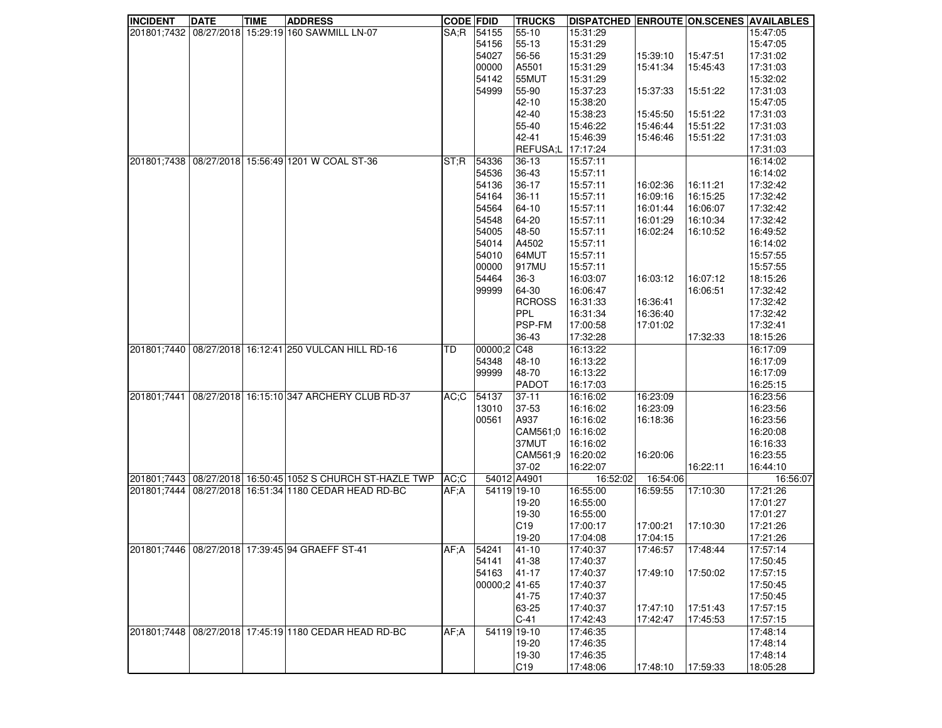| <b>INCIDENT</b> | <b>DATE</b> | <b>TIME</b> | <b>ADDRESS</b>                                              | <b>CODE FDID</b> |               | <b>TRUCKS</b>   | <b>DISPATCHED ENROUTE ON SCENES AVAILABLES</b> |          |          |          |
|-----------------|-------------|-------------|-------------------------------------------------------------|------------------|---------------|-----------------|------------------------------------------------|----------|----------|----------|
|                 |             |             | 201801;7432 08/27/2018 15:29:19 160 SAWMILL LN-07           | SA;R             | 54155         | 55-10           | 15:31:29                                       |          |          | 15:47:05 |
|                 |             |             |                                                             |                  | 54156         | 55-13           | 15:31:29                                       |          |          | 15:47:05 |
|                 |             |             |                                                             |                  | 54027         | 56-56           | 15:31:29                                       | 15:39:10 | 15:47:51 | 17:31:02 |
|                 |             |             |                                                             |                  | 00000         | A5501           | 15:31:29                                       | 15:41:34 | 15:45:43 | 17:31:03 |
|                 |             |             |                                                             |                  | 54142         | 55MUT           | 15:31:29                                       |          |          | 15:32:02 |
|                 |             |             |                                                             |                  | 54999         | 55-90           | 15:37:23                                       | 15:37:33 | 15:51:22 | 17:31:03 |
|                 |             |             |                                                             |                  |               |                 |                                                |          |          |          |
|                 |             |             |                                                             |                  |               | 42-10           | 15:38:20                                       |          |          | 15:47:05 |
|                 |             |             |                                                             |                  |               | 42-40           | 15:38:23                                       | 15:45:50 | 15:51:22 | 17:31:03 |
|                 |             |             |                                                             |                  |               | 55-40           | 15:46:22                                       | 15:46:44 | 15:51:22 | 17:31:03 |
|                 |             |             |                                                             |                  |               | 42-41           | 15:46:39                                       | 15:46:46 | 15:51:22 | 17:31:03 |
|                 |             |             |                                                             |                  |               | <b>REFUSA;L</b> | 17:17:24                                       |          |          | 17:31:03 |
| 201801;7438     |             |             | 08/27/2018 15:56:49 1201 W COAL ST-36                       | ST:R             | 54336         | $36-13$         | 15:57:11                                       |          |          | 16:14:02 |
|                 |             |             |                                                             |                  | 54536         | 36-43           | 15:57:11                                       |          |          | 16:14:02 |
|                 |             |             |                                                             |                  | 54136         | 36-17           | 15:57:11                                       | 16:02:36 | 16:11:21 | 17:32:42 |
|                 |             |             |                                                             |                  | 54164         | 36-11           | 15:57:11                                       | 16:09:16 | 16:15:25 | 17:32:42 |
|                 |             |             |                                                             |                  | 54564         | 64-10           | 15:57:11                                       | 16:01:44 | 16:06:07 | 17:32:42 |
|                 |             |             |                                                             |                  | 54548         | 64-20           | 15:57:11                                       | 16:01:29 | 16:10:34 | 17:32:42 |
|                 |             |             |                                                             |                  | 54005         | 48-50           | 15:57:11                                       | 16:02:24 | 16:10:52 | 16:49:52 |
|                 |             |             |                                                             |                  | 54014         | A4502           | 15:57:11                                       |          |          | 16:14:02 |
|                 |             |             |                                                             |                  | 54010         | 64MUT           | 15:57:11                                       |          |          | 15:57:55 |
|                 |             |             |                                                             |                  |               |                 |                                                |          |          |          |
|                 |             |             |                                                             |                  | 00000         | 917MU           | 15:57:11                                       |          |          | 15:57:55 |
|                 |             |             |                                                             |                  | 54464         | 36-3            | 16:03:07                                       | 16:03:12 | 16:07:12 | 18:15:26 |
|                 |             |             |                                                             |                  | 99999         | 64-30           | 16:06:47                                       |          | 16:06:51 | 17:32:42 |
|                 |             |             |                                                             |                  |               | <b>RCROSS</b>   | 16:31:33                                       | 16:36:41 |          | 17:32:42 |
|                 |             |             |                                                             |                  |               | PPL             | 16:31:34                                       | 16:36:40 |          | 17:32:42 |
|                 |             |             |                                                             |                  |               | <b>PSP-FM</b>   | 17:00:58                                       | 17:01:02 |          | 17:32:41 |
|                 |             |             |                                                             |                  |               | 36-43           | 17:32:28                                       |          | 17:32:33 | 18:15:26 |
| 201801;7440     |             |             | 08/27/2018 16:12:41 250 VULCAN HILL RD-16                   | TD               | 00000;2       | C48             | 16:13:22                                       |          |          | 16:17:09 |
|                 |             |             |                                                             |                  | 54348         | 48-10           | 16:13:22                                       |          |          | 16:17:09 |
|                 |             |             |                                                             |                  | 99999         | 48-70           | 16:13:22                                       |          |          | 16:17:09 |
|                 |             |             |                                                             |                  |               | PADOT           | 16:17:03                                       |          |          | 16:25:15 |
| 201801;7441     |             |             | 08/27/2018 16:15:10 347 ARCHERY CLUB RD-37                  | AC;C             | 54137         | 37-11           | 16:16:02                                       | 16:23:09 |          | 16:23:56 |
|                 |             |             |                                                             |                  | 13010         | 37-53           | 16:16:02                                       | 16:23:09 |          | 16:23:56 |
|                 |             |             |                                                             |                  | 00561         | A937            | 16:16:02                                       | 16:18:36 |          | 16:23:56 |
|                 |             |             |                                                             |                  |               | CAM561;0        | 16:16:02                                       |          |          | 16:20:08 |
|                 |             |             |                                                             |                  |               | 37MUT           | 16:16:02                                       |          |          | 16:16:33 |
|                 |             |             |                                                             |                  |               | CAM561:9        | 16:20:02                                       | 16:20:06 |          | 16:23:55 |
|                 |             |             |                                                             |                  |               | 37-02           | 16:22:07                                       |          | 16:22:11 | 16:44:10 |
|                 |             |             | 201801;7443 08/27/2018 16:50:45 1052 S CHURCH ST-HAZLE TWP  | AC:C             | 54012 A4901   |                 | 16:52:02                                       | 16:54:06 |          | 16:56:07 |
|                 |             |             | 201801;7444   08/27/2018   16:51:34   1180 CEDAR HEAD RD-BC | AF:A             | 54119 19-10   |                 | 16:55:00                                       | 16:59:55 | 17:10:30 | 17:21:26 |
|                 |             |             |                                                             |                  |               | 19-20           | 16:55:00                                       |          |          | 17:01:27 |
|                 |             |             |                                                             |                  |               | 19-30           | 16:55:00                                       |          |          | 17:01:27 |
|                 |             |             |                                                             |                  |               | C19             | 17:00:17                                       | 17:00:21 | 17:10:30 | 17:21:26 |
|                 |             |             |                                                             |                  |               | 19-20           | 17:04:08                                       | 17:04:15 |          | 17:21:26 |
|                 |             |             | 201801;7446 08/27/2018 17:39:45 94 GRAEFF ST-41             |                  | AF;A 54241    |                 |                                                | 17:46:57 | 17:48:44 | 17:57:14 |
|                 |             |             |                                                             |                  |               | $ 41-10 $       | 17:40:37                                       |          |          | 17:50:45 |
|                 |             |             |                                                             |                  | 54141         | 41-38           | 17:40:37                                       |          |          |          |
|                 |             |             |                                                             |                  | 54163         | 41-17           | 17:40:37                                       | 17:49:10 | 17:50:02 | 17:57:15 |
|                 |             |             |                                                             |                  | 00000;2 41-65 |                 | 17:40:37                                       |          |          | 17:50:45 |
|                 |             |             |                                                             |                  |               | 41-75           | 17:40:37                                       |          |          | 17:50:45 |
|                 |             |             |                                                             |                  |               | 63-25           | 17:40:37                                       | 17:47:10 | 17:51:43 | 17:57:15 |
|                 |             |             |                                                             |                  |               | $C-41$          | 17:42:43                                       | 17:42:47 | 17:45:53 | 17:57:15 |
| 201801;7448     |             |             | 08/27/2018 17:45:19 1180 CEDAR HEAD RD-BC                   | AF;A             | 54119 19-10   |                 | 17:46:35                                       |          |          | 17:48:14 |
|                 |             |             |                                                             |                  |               | 19-20           | 17:46:35                                       |          |          | 17:48:14 |
|                 |             |             |                                                             |                  |               | 19-30           | 17:46:35                                       |          |          | 17:48:14 |
|                 |             |             |                                                             |                  |               | C19             | 17:48:06                                       | 17:48:10 | 17:59:33 | 18:05:28 |